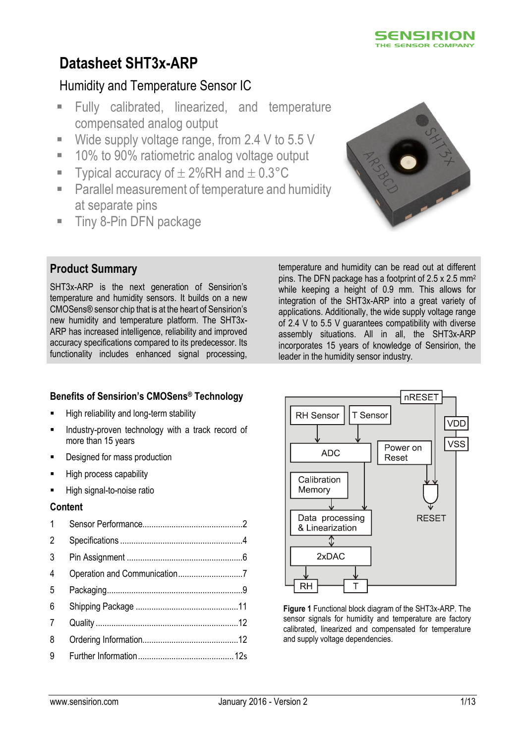

# **Datasheet SHT3x-ARP**

## Humidity and Temperature Sensor IC

- **Fully calibrated, linearized, and temperature** compensated analog output
- Wide supply voltage range, from 2.4 V to 5.5 V
- 10% to 90% ratiometric analog voltage output
- Typical accuracy of  $\pm 2\%$ RH and  $\pm 0.3^{\circ}$ C
- Parallel measurement of temperature and humidity at separate pins
- **Tiny 8-Pin DFN package**



## **Product Summary**

SHT3x-ARP is the next generation of Sensirion's temperature and humidity sensors. It builds on a new CMOSens® sensor chip that is at the heart of Sensirion's new humidity and temperature platform. The SHT3x-ARP has increased intelligence, reliability and improved accuracy specifications compared to its predecessor. Its functionality includes enhanced signal processing,

temperature and humidity can be read out at different pins. The DFN package has a footprint of 2.5 x 2.5 mm<sup>2</sup> while keeping a height of 0.9 mm. This allows for integration of the SHT3x-ARP into a great variety of applications. Additionally, the wide supply voltage range of 2.4 V to 5.5 V guarantees compatibility with diverse assembly situations. All in all, the SHT3x-ARP incorporates 15 years of knowledge of Sensirion, the leader in the humidity sensor industry.

## **Benefits of Sensirion's CMOSens ® Technology**

- **High reliability and long-term stability**
- Industry-proven technology with a track record of more than 15 years
- Designed for mass production
- High process capability
- High signal-to-noise ratio

#### **Content**

| $\mathbf{1}$   |  |
|----------------|--|
| $\overline{2}$ |  |
| 3              |  |
| $\overline{4}$ |  |
| 5              |  |
| 6              |  |
| 7              |  |
| 8              |  |
| 9              |  |
|                |  |



**Figure 1** Functional block diagram of the SHT3x-ARP. The sensor signals for humidity and temperature are factory calibrated, linearized and compensated for temperature and supply voltage dependencies.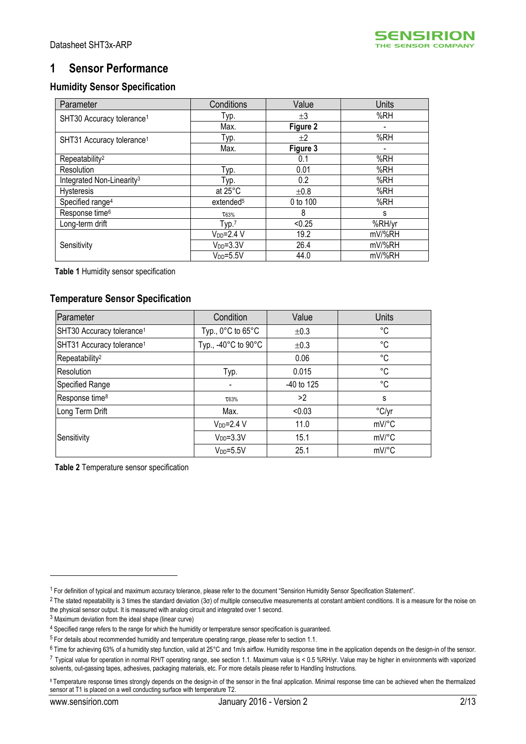

## <span id="page-1-0"></span>**1 Sensor Performance**

#### **Humidity Sensor Specification**

<span id="page-1-2"></span><span id="page-1-1"></span>

| Parameter                             | Conditions            | Value     | Units  |
|---------------------------------------|-----------------------|-----------|--------|
| SHT30 Accuracy tolerance <sup>1</sup> | Typ.                  | ±3        | %RH    |
|                                       | Max.                  | Figure 2  |        |
| SHT31 Accuracy tolerance <sup>1</sup> | Typ.                  | $+2$      | %RH    |
|                                       | Max.                  | Figure 3  |        |
| Repeatability <sup>2</sup>            |                       | 0.1       | %RH    |
| Resolution                            | Typ.                  | 0.01      | %RH    |
| Integrated Non-Linearity <sup>3</sup> | Typ.                  | 0.2       | %RH    |
| Hysteresis                            | at $25^{\circ}$ C     | $\pm 0.8$ | %RH    |
| Specified range <sup>4</sup>          | extended <sup>5</sup> | 0 to 100  | %RH    |
| Response time <sup>6</sup>            | T63%                  | 8         | s      |
| Long-term drift                       | Typ. <sup>7</sup>     | < 0.25    | %RH/yr |
|                                       | $V_{DD} = 2.4 V$      | 19.2      | mV/%RH |
| Sensitivity                           | $VDD=3.3V$            | 26.4      | mV/%RH |
|                                       | $VDD=5.5V$            | 44.0      | mV/%RH |

<span id="page-1-3"></span>**Table 1** Humidity sensor specification

## **Temperature Sensor Specification**

| Parameter                             | Condition                             | Value      | <b>Units</b>   |
|---------------------------------------|---------------------------------------|------------|----------------|
| SHT30 Accuracy tolerance <sup>1</sup> | Typ., $0^{\circ}$ C to $65^{\circ}$ C | ±0.3       | °C             |
| SHT31 Accuracy tolerance <sup>1</sup> | Typ., -40°C to 90°C                   | ±0.3       | °C             |
| Repeatability <sup>2</sup>            |                                       | 0.06       | °C             |
| Resolution                            | Typ.                                  | 0.015      | °C             |
| Specified Range                       |                                       | -40 to 125 | °C             |
| Response time <sup>8</sup>            | T63%                                  | >2         | s              |
| Long Term Drift                       | Max.                                  | < 0.03     | $\degree$ C/yr |
|                                       | $V_{DD} = 2.4 V$                      | 11.0       | mV/°C          |
| Sensitivity                           | $VDD=3.3V$                            | 15.1       | mV/°C          |
|                                       | $V_{DD} = 5.5V$                       | 25.1       | mV/°C          |

<span id="page-1-4"></span>**Table 2** Temperature sensor specification

<u>.</u>

<sup>1</sup> For definition of typical and maximum accuracy tolerance, please refer to the document "Sensirion Humidity Sensor Specification Statement".

 $2$  The stated repeatability is 3 times the standard deviation (3 $\sigma$ ) of multiple consecutive measurements at constant ambient conditions. It is a measure for the noise on the physical sensor output. It is measured with analog circuit and integrated over 1 second.

<sup>3</sup> Maximum deviation from the ideal shape (linear curve)

<sup>4</sup> Specified range refers to the range for which the humidity or temperature sensor specification is guaranteed.

<sup>5</sup> For details about recommended humidity and temperature operating range, please refer to section [1.1.](#page-3-1)

<sup>6</sup> Time for achieving 63% of a humidity step function, valid at 25°C and 1m/s airflow. Humidity response time in the application depends on the design-in of the sensor.

<sup>7</sup> Typical value for operation in normal RH/T operating range, see section [1.1.](#page-3-1) Maximum value is < 0.5 %RH/yr. Value may be higher in environments with vaporized solvents, out-gassing tapes, adhesives, packaging materials, etc. For more details please refer to Handling Instructions.

<sup>8</sup> Temperature response times strongly depends on the design-in of the sensor in the final application. Minimal response time can be achieved when the thermalized sensor at T1 is placed on a well conducting surface with temperature T2.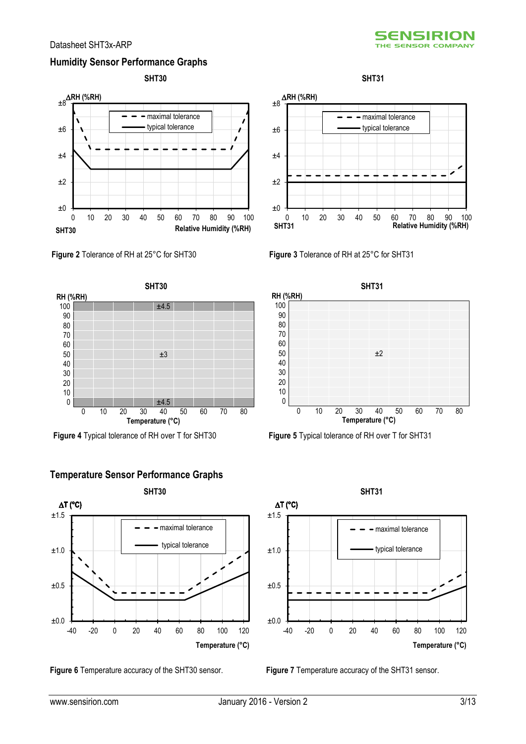## **Humidity Sensor Performance Graphs**





<span id="page-2-0"></span>**Figure 2** Tolerance of RH at 25°C for SHT30 **Figure 3** Tolerance of RH at 25°C for SHT31



**Figure 4** Typical tolerance of RH over T for SHT30 **Figure 5** Typical tolerance of RH over T for SHT31



**Temperature Sensor Performance Graphs**





<span id="page-2-1"></span>





±0.0  $±0.5$ ±1.0 ±1.5 -40 -20 0 20 40 60 80 100 120 **Temperature (°C)**  $=$  maximal tolerance typical tolerance D**T (°C)**

**Figure 6** Temperature accuracy of the SHT30 sensor. **Figure 7** Temperature accuracy of the SHT31 sensor.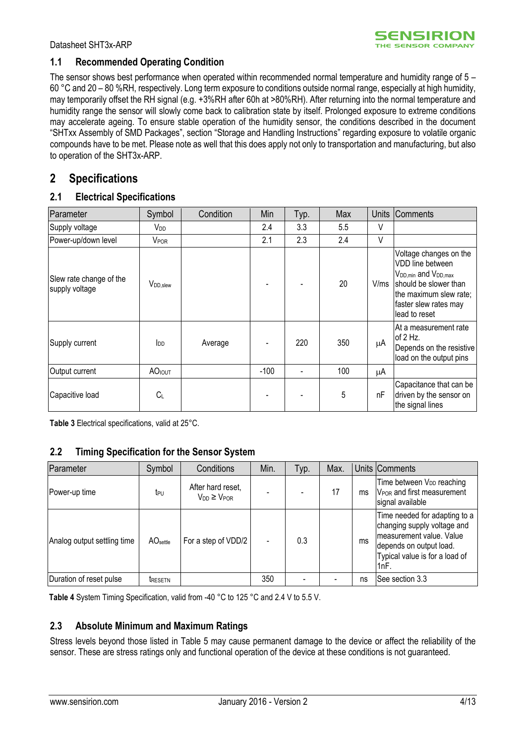#### <span id="page-3-1"></span>**1.1 Recommended Operating Condition**

The sensor shows best performance when operated within recommended normal temperature and humidity range of 5 – 60 °C and 20 – 80 %RH, respectively. Long term exposure to conditions outside normal range, especially at high humidity, may temporarily offset the RH signal (e.g. +3%RH after 60h at >80%RH). After returning into the normal temperature and humidity range the sensor will slowly come back to calibration state by itself. Prolonged exposure to extreme conditions may accelerate ageing. To ensure stable operation of the humidity sensor, the conditions described in the document "SHTxx Assembly of SMD Packages", section "Storage and Handling Instructions" regarding exposure to volatile organic compounds have to be met. Please note as well that this does apply not only to transportation and manufacturing, but also to operation of the SHT3x-ARP.

## <span id="page-3-0"></span>**2 Specifications**

#### **2.1 Electrical Specifications**

| Parameter                                 | Symbol                 | Condition | Min    | Typ. | Max | <b>Units</b> | <b>Comments</b>                                                                                                                                                                        |
|-------------------------------------------|------------------------|-----------|--------|------|-----|--------------|----------------------------------------------------------------------------------------------------------------------------------------------------------------------------------------|
| Supply voltage                            | V <sub>DD</sub>        |           | 2.4    | 3.3  | 5.5 | V            |                                                                                                                                                                                        |
| Power-up/down level                       | <b>VPOR</b>            |           | 2.1    | 2.3  | 2.4 | V            |                                                                                                                                                                                        |
| Slew rate change of the<br>supply voltage | V <sub>DD,slew</sub>   |           |        |      | 20  | V/ms         | Voltage changes on the<br>VDD line between<br>V <sub>DD,min</sub> and V <sub>DD,max</sub><br>should be slower than<br>the maximum slew rate;<br>faster slew rates may<br>lead to reset |
| Supply current                            | <b>l</b> <sub>DD</sub> | Average   |        | 220  | 350 | μA           | At a measurement rate<br>of $2$ Hz.<br>Depends on the resistive<br>load on the output pins                                                                                             |
| Output current                            | <b>AO</b> IOUT         |           | $-100$ |      | 100 | μA           |                                                                                                                                                                                        |
| Capacitive load                           | $C_L$                  |           |        |      | 5   | nF           | Capacitance that can be<br>driven by the sensor on<br>the signal lines                                                                                                                 |

<span id="page-3-2"></span>**Table 3** Electrical specifications, valid at 25°C.

#### **2.2 Timing Specification for the Sensor System**

| Parameter                   | Symbol               | Conditions                                 | Min. | Typ. | Max. |    | Units Comments                                                                                                                                                 |
|-----------------------------|----------------------|--------------------------------------------|------|------|------|----|----------------------------------------------------------------------------------------------------------------------------------------------------------------|
| Power-up time               | t <sub>PU</sub>      | After hard reset,<br>$V_{DD} \geq V_{POR}$ |      |      | 17   | ms | Time between V <sub>DD</sub> reaching<br>V <sub>POR</sub> and first measurement<br>signal available                                                            |
| Analog output settling time | AO <sub>settle</sub> | For a step of VDD/2                        |      | 0.3  |      | ms | Time needed for adapting to a<br>changing supply voltage and<br>Imeasurement value. Value<br>depends on output load.<br>Typical value is for a load of<br>1nF. |
| Duration of reset pulse     | <b>TRESETN</b>       |                                            | 350  |      |      | ns | See section 3.3                                                                                                                                                |

**Table 4** System Timing Specification, valid from -40 °C to 125 °C and 2.4 V to 5.5 V.

## **2.3 Absolute Minimum and Maximum Ratings**

Stress levels beyond those listed in [Table 5](#page-4-0) may cause permanent damage to the device or affect the reliability of the sensor. These are stress ratings only and functional operation of the device at these conditions is not guaranteed.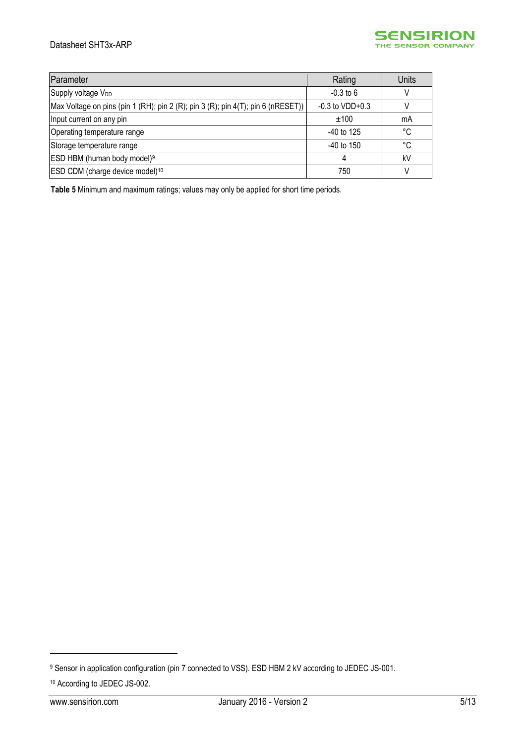#### Datasheet SHT3x-ARP



| Parameter                                                                        | Rating              | <b>Units</b> |
|----------------------------------------------------------------------------------|---------------------|--------------|
| Supply voltage V <sub>DD</sub>                                                   | $-0.3$ to 6         |              |
| Max Voltage on pins (pin 1 (RH); pin 2 (R); pin 3 (R); pin 4(T); pin 6 (nRESET)) | $-0.3$ to $VDD+0.3$ |              |
| Input current on any pin                                                         | ±100                | mA           |
| Operating temperature range                                                      | $-40$ to 125        | °C           |
| Storage temperature range                                                        | $-40$ to 150        | °C           |
| ESD HBM (human body model) <sup>9</sup>                                          | 4                   | kV           |
| ESD CDM (charge device model) <sup>10</sup>                                      | 750                 |              |

<span id="page-4-0"></span>**Table 5** Minimum and maximum ratings; values may only be applied for short time periods.

<u>.</u>

<sup>9</sup> Sensor in application configuration (pin 7 connected to VSS). ESD HBM 2 kV according to JEDEC JS-001. <sup>10</sup> According to JEDEC JS-002.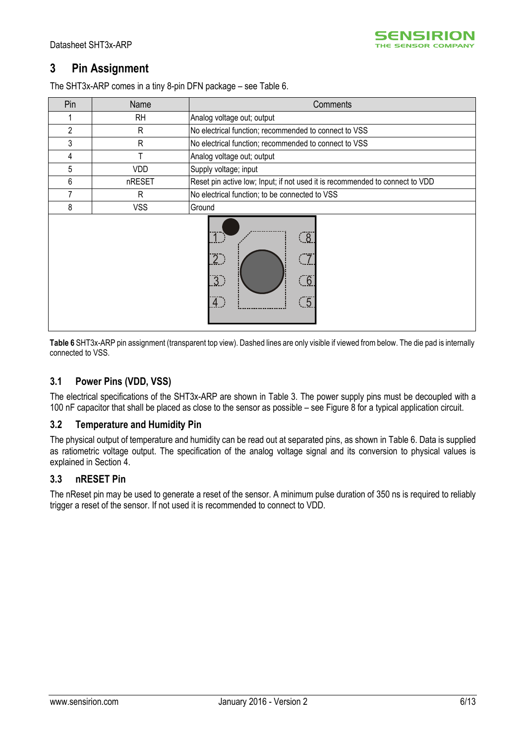## <span id="page-5-0"></span>**3 Pin Assignment**

The SHT3x-ARP comes in a tiny 8-pin DFN package – see [Table 6.](#page-5-2)

| Pin | Name       | Comments                                                                       |
|-----|------------|--------------------------------------------------------------------------------|
|     | <b>RH</b>  | Analog voltage out; output                                                     |
| 2   | R          | No electrical function; recommended to connect to VSS                          |
| 3   | R          | No electrical function; recommended to connect to VSS                          |
| 4   | T          | Analog voltage out; output                                                     |
| 5   | VDD        | Supply voltage; input                                                          |
| 6   | nRESET     | Reset pin active low; Input; if not used it is recommended to connect to VDD   |
|     | R          | No electrical function; to be connected to VSS                                 |
| 8   | <b>VSS</b> | Ground                                                                         |
|     |            | $\overline{8}$<br>$\overline{2}$<br>$\overline{3}$ )<br>6<br><u>.5</u><br>.4.) |

<span id="page-5-2"></span>**Table 6** SHT3x-ARP pin assignment (transparent top view). Dashed lines are only visible if viewed from below. The die pad is internally connected to VSS.

## **3.1 Power Pins (VDD, VSS)**

The electrical specifications of the SHT3x-ARP are shown in [Table 3.](#page-3-2) The power supply pins must be decoupled with a 100 nF capacitor that shall be placed as close to the sensor as possible – see [Figure 8](#page-6-1) for a typical application circuit.

#### **3.2 Temperature and Humidity Pin**

The physical output of temperature and humidity can be read out at separated pins, as shown in [Table 6.](#page-5-2) Data is supplied as ratiometric voltage output. The specification of the analog voltage signal and its conversion to physical values is explained in Section [4.](#page-6-0)

#### <span id="page-5-1"></span>**3.3 nRESET Pin**

The nReset pin may be used to generate a reset of the sensor. A minimum pulse duration of 350 ns is required to reliably trigger a reset of the sensor. If not used it is recommended to connect to VDD.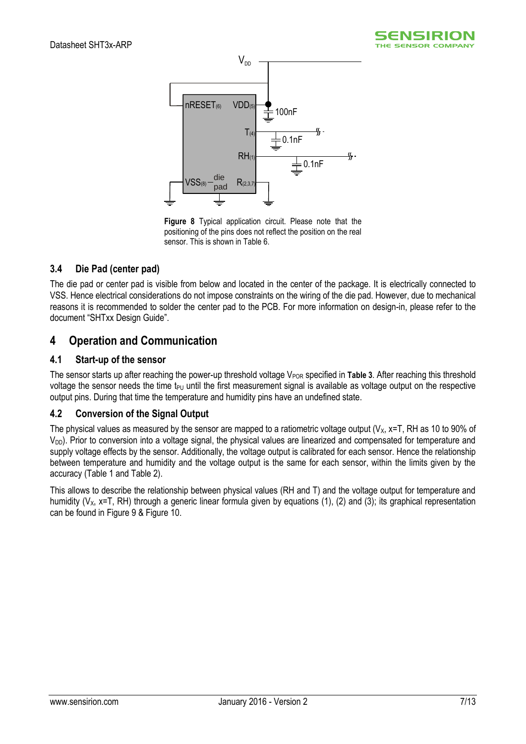



<span id="page-6-1"></span>**Figure 8** Typical application circuit. Please note that the positioning of the pins does not reflect the position on the real sensor. This is shown i[n Table 6.](#page-5-2)

## **3.4 Die Pad (center pad)**

The die pad or center pad is visible from below and located in the center of the package. It is electrically connected to VSS. Hence electrical considerations do not impose constraints on the wiring of the die pad. However, due to mechanical reasons it is recommended to solder the center pad to the PCB. For more information on design-in, please refer to the document "SHTxx Design Guide".

## <span id="page-6-0"></span>**4 Operation and Communication**

#### **4.1 Start-up of the sensor**

The sensor starts up after reaching the power-up threshold voltage  $V_{POR}$  specified in **[Table 3](#page-3-2)**. After reaching this threshold voltage the sensor needs the time t<sub>PU</sub> until the first measurement signal is available as voltage output on the respective output pins. During that time the temperature and humidity pins have an undefined state.

## **4.2 Conversion of the Signal Output**

The physical values as measured by the sensor are mapped to a ratiometric voltage output ( $V_x$ ,  $x=T$ , RH as 10 to 90% of  $V_{DD}$ ). Prior to conversion into a voltage signal, the physical values are linearized and compensated for temperature and supply voltage effects by the sensor. Additionally, the voltage output is calibrated for each sensor. Hence the relationship between temperature and humidity and the voltage output is the same for each sensor, within the limits given by the accuracy [\(Table 1](#page-1-3) an[d Table 2\)](#page-1-4).

This allows to describe the relationship between physical values (RH and T) and the voltage output for temperature and humidity ( $V_x$ , x=T, RH) through a generic linear formula given by equations (1), (2) and (3); its graphical representation can be found in [Figure 9](#page-7-0) & [Figure 10.](#page-7-1)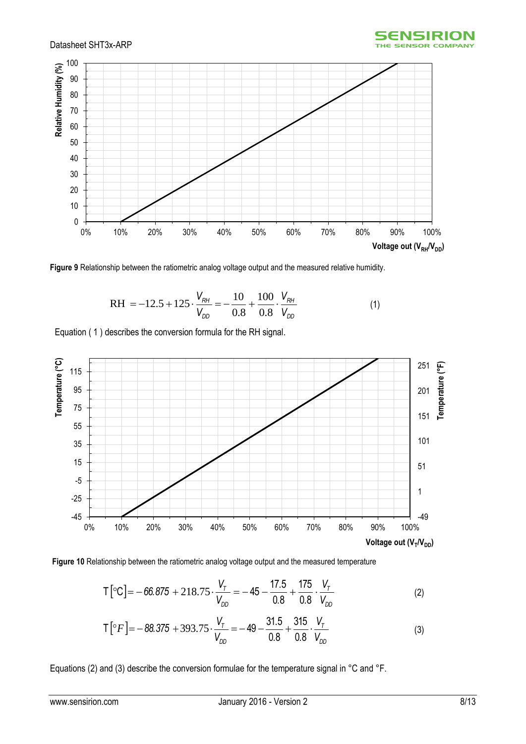



<span id="page-7-0"></span>**Figure 9** Relationship between the ratiometric analog voltage output and the measured relative humidity.

$$
RH = -12.5 + 125 \cdot \frac{V_{RH}}{V_{DD}} = -\frac{10}{0.8} + \frac{100}{0.8} \cdot \frac{V_{RH}}{V_{DD}}
$$
(1)

Equation ( 1 ) describes the conversion formula for the RH signal.



<span id="page-7-1"></span>

$$
\mathsf{T} \left[ {}^{\circ}\mathsf{C} \right] = -66.875 + 218.75 \cdot \frac{V_{\tau}}{V_{DD}} = -45 - \frac{17.5}{0.8} + \frac{175}{0.8} \cdot \frac{V_{\tau}}{V_{DD}} \tag{2}
$$

$$
\mathsf{T}\left[{}^{\circ}F\right] = -88.375 + 393.75 \cdot \frac{V_{\tau}}{V_{DD}} = -49 - \frac{31.5}{0.8} + \frac{315}{0.8} \cdot \frac{V_{\tau}}{V_{DD}} \tag{3}
$$

Equations (2) and (3) describe the conversion formulae for the temperature signal in °C and °F.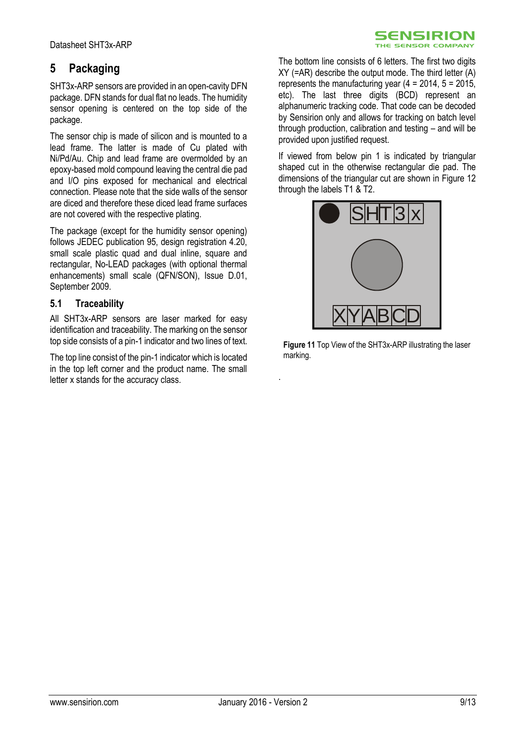## <span id="page-8-0"></span>**5 Packaging**

SHT3x-ARP sensors are provided in an open-cavity DFN package. DFN stands for dual flat no leads. The humidity sensor opening is centered on the top side of the package.

The sensor chip is made of silicon and is mounted to a lead frame. The latter is made of Cu plated with Ni/Pd/Au. Chip and lead frame are overmolded by an epoxy-based mold compound leaving the central die pad and I/O pins exposed for mechanical and electrical connection. Please note that the side walls of the sensor are diced and therefore these diced lead frame surfaces are not covered with the respective plating.

The package (except for the humidity sensor opening) follows JEDEC publication 95, design registration 4.20, small scale plastic quad and dual inline, square and rectangular, No-LEAD packages (with optional thermal enhancements) small scale (QFN/SON), Issue D.01, September 2009.

## **5.1 Traceability**

All SHT3x-ARP sensors are laser marked for easy identification and traceability. The marking on the sensor top side consists of a pin-1 indicator and two lines of text.

The top line consist of the pin-1 indicator which is located in the top left corner and the product name. The small letter x stands for the accuracy class.

The bottom line consists of 6 letters. The first two digits  $XY$  (=AR) describe the output mode. The third letter  $(A)$ represents the manufacturing year  $(4 = 2014, 5 = 2015)$ , etc). The last three digits (BCD) represent an alphanumeric tracking code. That code can be decoded by Sensirion only and allows for tracking on batch level through production, calibration and testing – and will be provided upon justified request.

**SENSIRION** THE SENSOR COMPANY

If viewed from below pin 1 is indicated by triangular shaped cut in the otherwise rectangular die pad. The dimensions of the triangular cut are shown in [Figure 12](#page-9-0) through the labels T1 & T2.



**Figure 11** Top View of the SHT3x-ARP illustrating the laser marking.

.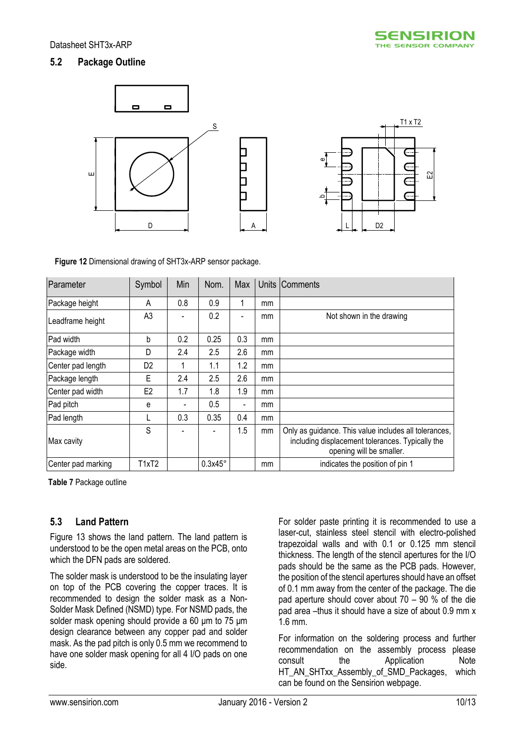## **5.2 Package Outline**



<span id="page-9-0"></span>**Figure 12** Dimensional drawing of SHT3x-ARP sensor package.

| Parameter          | Symbol         | Min | Nom.           | Max                          |    | Units Comments                                                                                                                        |
|--------------------|----------------|-----|----------------|------------------------------|----|---------------------------------------------------------------------------------------------------------------------------------------|
| Package height     | A              | 0.8 | 0.9            |                              | mm |                                                                                                                                       |
| Leadframe height   | A <sub>3</sub> |     | 0.2            |                              | mm | Not shown in the drawing                                                                                                              |
| Pad width          | b              | 0.2 | 0.25           | 0.3                          | mm |                                                                                                                                       |
| Package width      | D              | 2.4 | 2.5            | 2.6                          | mm |                                                                                                                                       |
| Center pad length  | D <sub>2</sub> |     | 1.1            | 1.2                          | mm |                                                                                                                                       |
| Package length     | E              | 2.4 | 2.5            | 2.6                          | mm |                                                                                                                                       |
| Center pad width   | E <sub>2</sub> | 1.7 | 1.8            | 1.9                          | mm |                                                                                                                                       |
| Pad pitch          | е              |     | 0.5            | $\qquad \qquad \blacksquare$ | mm |                                                                                                                                       |
| Pad length         |                | 0.3 | 0.35           | 0.4                          | mm |                                                                                                                                       |
| Max cavity         | S              |     |                | 1.5                          | mm | Only as guidance. This value includes all tolerances,<br>including displacement tolerances. Typically the<br>opening will be smaller. |
| Center pad marking | T1xT2          |     | $0.3x45^\circ$ |                              | mm | indicates the position of pin 1                                                                                                       |

**Table 7** Package outline

## **5.3 Land Pattern**

[Figure 13](#page-10-1) shows the land pattern. The land pattern is understood to be the open metal areas on the PCB, onto which the DFN pads are soldered.

The solder mask is understood to be the insulating layer on top of the PCB covering the copper traces. It is recommended to design the solder mask as a Non-Solder Mask Defined (NSMD) type. For NSMD pads, the solder mask opening should provide a 60 μm to 75 μm design clearance between any copper pad and solder mask. As the pad pitch is only 0.5 mm we recommend to have one solder mask opening for all 4 I/O pads on one side.

For solder paste printing it is recommended to use a laser-cut, stainless steel stencil with electro-polished trapezoidal walls and with 0.1 or 0.125 mm stencil thickness. The length of the stencil apertures for the I/O pads should be the same as the PCB pads. However, the position of the stencil apertures should have an offset of 0.1 mm away from the center of the package. The die pad aperture should cover about 70 – 90 % of the die pad area –thus it should have a size of about 0.9 mm x 1.6 mm.

For information on the soldering process and further recommendation on the assembly process please consult the Application Note HT\_AN\_SHTxx\_Assembly\_of\_SMD\_Packages, which can be found on the Sensirion webpage.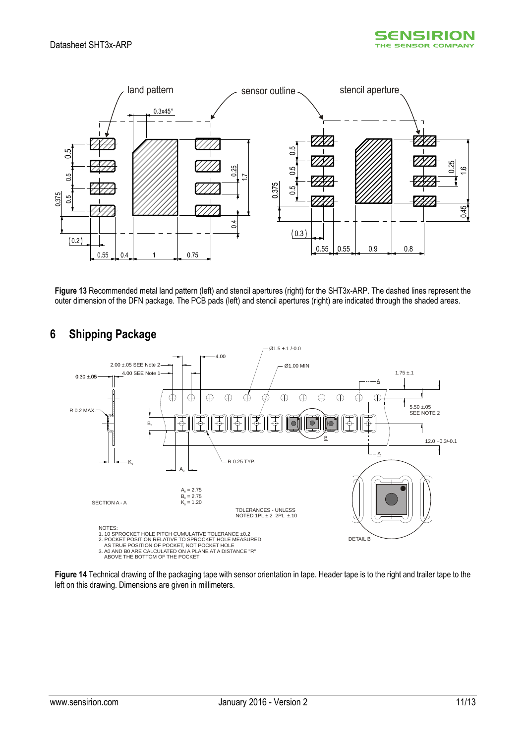



<span id="page-10-1"></span>**Figure 13** Recommended metal land pattern (left) and stencil apertures (right) for the SHT3x-ARP. The dashed lines represent the outer dimension of the DFN package. The PCB pads (left) and stencil apertures (right) are indicated through the shaded areas.



## <span id="page-10-0"></span>**6 Shipping Package**

**Figure 14** Technical drawing of the packaging tape with sensor orientation in tape. Header tape is to the right and trailer tape to the left on this drawing. Dimensions are given in millimeters.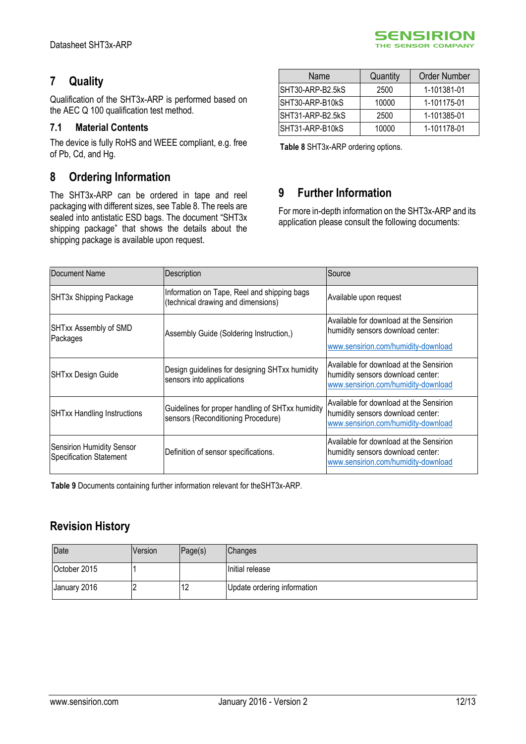# <span id="page-11-0"></span>**7 Quality**

Qualification of the SHT3x-ARP is performed based on the AEC Q 100 qualification test method.

## **7.1 Material Contents**

The device is fully RoHS and WEEE compliant, e.g. free of Pb, Cd, and Hg.

## <span id="page-11-1"></span>**8 Ordering Information**

The SHT3x-ARP can be ordered in tape and reel packaging with different sizes, see [Table 8.](#page-11-3) The reels are sealed into antistatic ESD bags. The document "SHT3x shipping package" that shows the details about the shipping package is available upon request.

| Name             | Quantity | Order Number |
|------------------|----------|--------------|
| SHT30-ARP-B2.5kS | 2500     | 1-101381-01  |
| SHT30-ARP-B10kS  | 10000    | 1-101175-01  |
| SHT31-ARP-B2.5kS | 2500     | 1-101385-01  |
| SHT31-ARP-B10kS  | 10000    | 1-101178-01  |

**SENSIRION** THE SENSOR COMPANY

<span id="page-11-3"></span>**Table 8** SHT3x-ARP ordering options.

## <span id="page-11-2"></span>**9 Further Information**

For more in-depth information on the SHT3x-ARP and its application please consult the following documents:

| Document Name                                                      | Description                                                                            | Source                                                                                                              |
|--------------------------------------------------------------------|----------------------------------------------------------------------------------------|---------------------------------------------------------------------------------------------------------------------|
| SHT3x Shipping Package                                             | Information on Tape, Reel and shipping bags<br>(technical drawing and dimensions)      | Available upon request                                                                                              |
| SHTxx Assembly of SMD<br>Packages                                  | Assembly Guide (Soldering Instruction,)                                                | Available for download at the Sensirion<br>humidity sensors download center:<br>www.sensirion.com/humidity-download |
| <b>SHTxx Design Guide</b>                                          | Design guidelines for designing SHTxx humidity<br>sensors into applications            | Available for download at the Sensirion<br>humidity sensors download center:<br>www.sensirion.com/humidity-download |
| <b>SHTxx Handling Instructions</b>                                 | Guidelines for proper handling of SHTxx humidity<br>sensors (Reconditioning Procedure) | Available for download at the Sensirion<br>humidity sensors download center:<br>www.sensirion.com/humidity-download |
| <b>Sensirion Humidity Sensor</b><br><b>Specification Statement</b> | Definition of sensor specifications.                                                   | Available for download at the Sensirion<br>humidity sensors download center:<br>www.sensirion.com/humidity-download |

**Table 9** Documents containing further information relevant for theSHT3x-ARP.

## **Revision History**

| Date         | Version | Page(s) | <b>Changes</b>              |
|--------------|---------|---------|-----------------------------|
| October 2015 |         |         | Initial release             |
| January 2016 |         | ے ا     | Update ordering information |